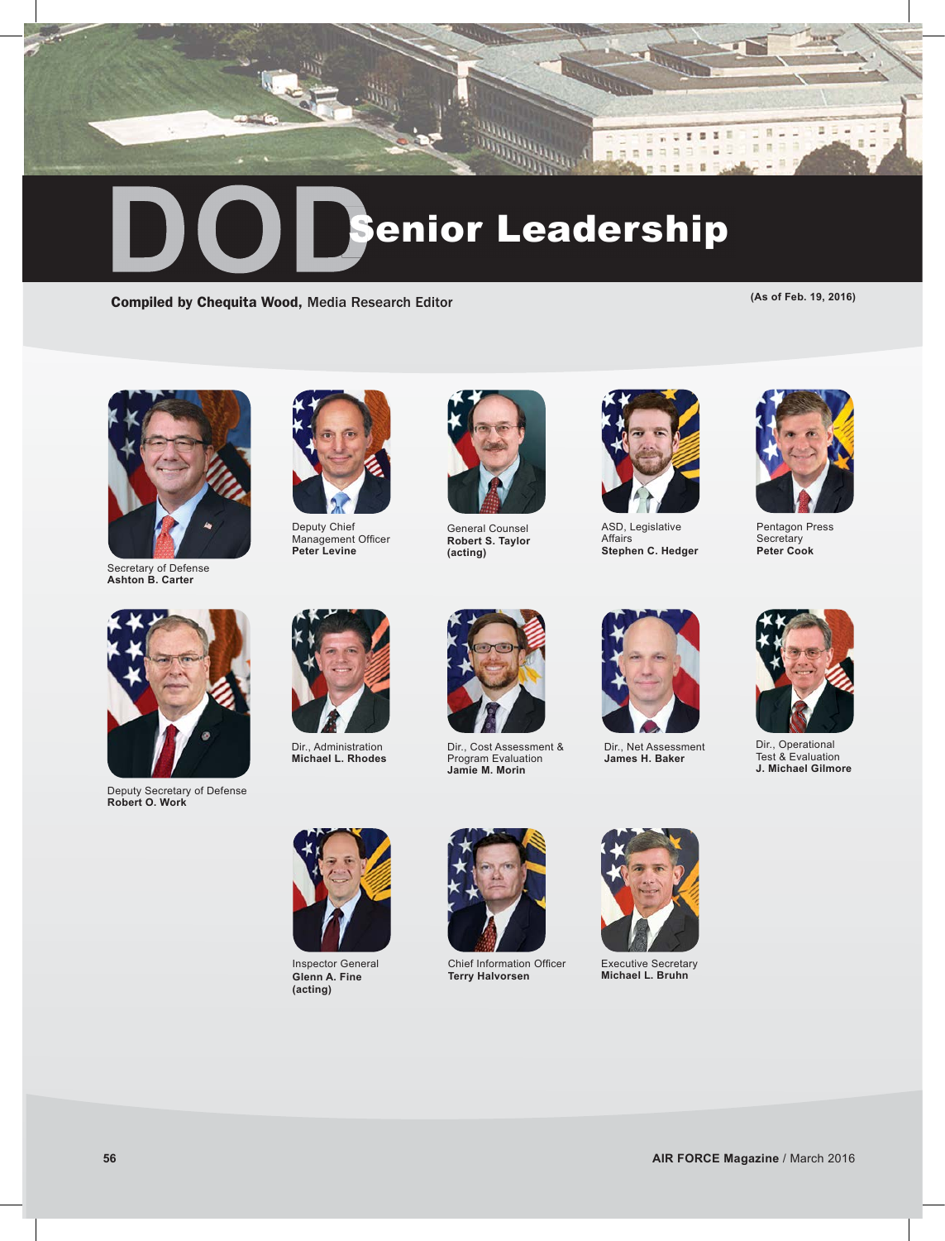

Compiled by Chequita Wood, Media Research Editor **(As of Feb. 19, 2016)** (As of Feb. 19, 2016)



Secretary of Defense **Ashton B. Carter**



Deputy Chief Management Officer **Peter Levine**



General Counsel **Robert S. Taylor (acting)**



 $E = 0$ ×

u ī. E a

H.

 $\blacksquare$  $\overline{\mathbf{u}}$ 

ASD, Legislative **Affairs Stephen C. Hedger**



Pentagon Press **Secretary Peter Cook**



Deputy Secretary of Defense **Robert O. Work**



Dir., Administration **Michael L. Rhodes**



Dir., Cost Assessment & Program Evaluation **Jamie M. Morin**



Dir., Net Assessment **James H. Baker**



Dir., Operational Test & Evaluation **J. Michael Gilmore**



Inspector General **Glenn A. Fine (acting)**



Chief Information Officer **Terry Halvorsen** 



Executive Secretary **Michael L. Bruhn**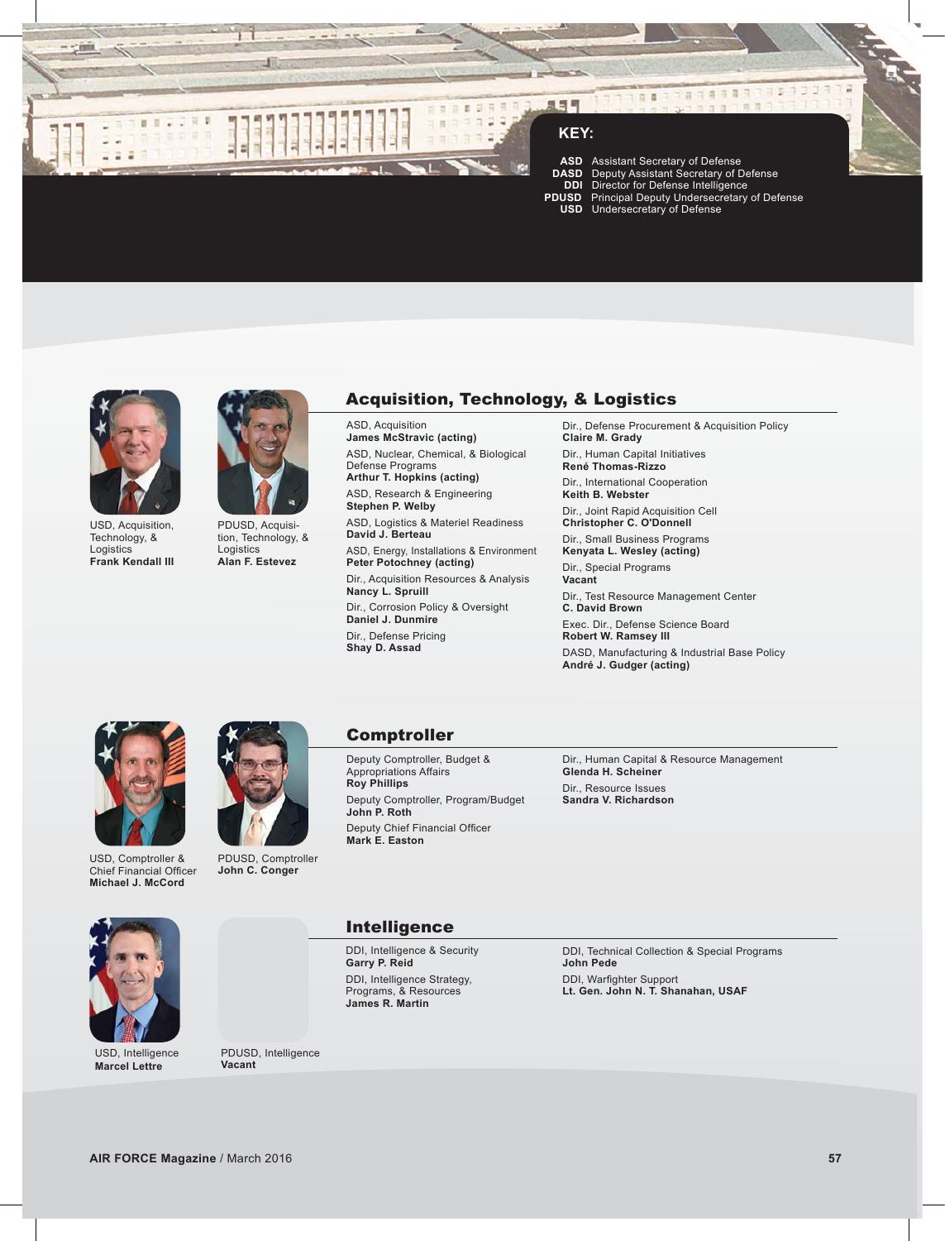

# **KEY:**

只与与

 **ASD** Assistant Secretary of Defense **DASD** Deputy Assistant Secretary of Defense **DDI** Director for Defense Intelligence  **PDUSD** Principal Deputy Undersecretary of Defense **USD** Undersecretary of Defense

 $B.8$ 

ä

**ROBBRATES 1223** 



USD, Acquisition, Technology, & **Logistics Frank Kendall III**



PDUSD, Acquisition, Technology, & Logistics **Alan F. Estevez**

# Acquisition, Technology, & Logistics

ASD, Acquisition **James McStravic (acting)** ASD, Nuclear, Chemical, & Biological Defense Programs

**Arthur T. Hopkins (acting)** ASD, Research & Engineering **Stephen P. Welby**

ASD, Logistics & Materiel Readiness **David J. Berteau**

ASD, Energy, Installations & Environment **Peter Potochney (acting)**

Dir., Acquisition Resources & Analysis **Nancy L. Spruill**

Dir., Corrosion Policy & Oversight **Daniel J. Dunmire** Dir., Defense Pricing **Shay D. Assad**

Dir., Defense Procurement & Acquisition Policy **Claire M. Grady**

Dir., Human Capital Initiatives **René Thomas-Rizzo** Dir., International Cooperation

**Keith B. Webster** Dir., Joint Rapid Acquisition Cell **Christopher C. O'Donnell**

Dir., Small Business Programs

**Kenyata L. Wesley (acting)** Dir., Special Programs **Vacant**

Dir., Test Resource Management Center **C. David Brown**

Exec. Dir., Defense Science Board **Robert W. Ramsey III** DASD, Manufacturing & Industrial Base Policy **André J. Gudger (acting)**







PDUSD, Comptroller **John C. Conger**

# Comptroller

Deputy Comptroller, Budget & Appropriations Affairs **Roy Phillips** Deputy Comptroller, Program/Budget **John P. Roth** Deputy Chief Financial Officer **Mark E. Easton**

Dir., Human Capital & Resource Management **Glenda H. Scheiner** Dir., Resource Issues **Sandra V. Richardson**



USD, Intelligence **Marcel Lettre**

PDUSD, Intelligence **Vacant**

Intelligence

DDI, Intelligence & Security **Garry P. Reid** DDI, Intelligence Strategy, Programs, & Resources **James R. Martin** 

DDI, Technical Collection & Special Programs **John Pede** DDI, Warfighter Support **Lt. Gen. John N. T. Shanahan, USAF**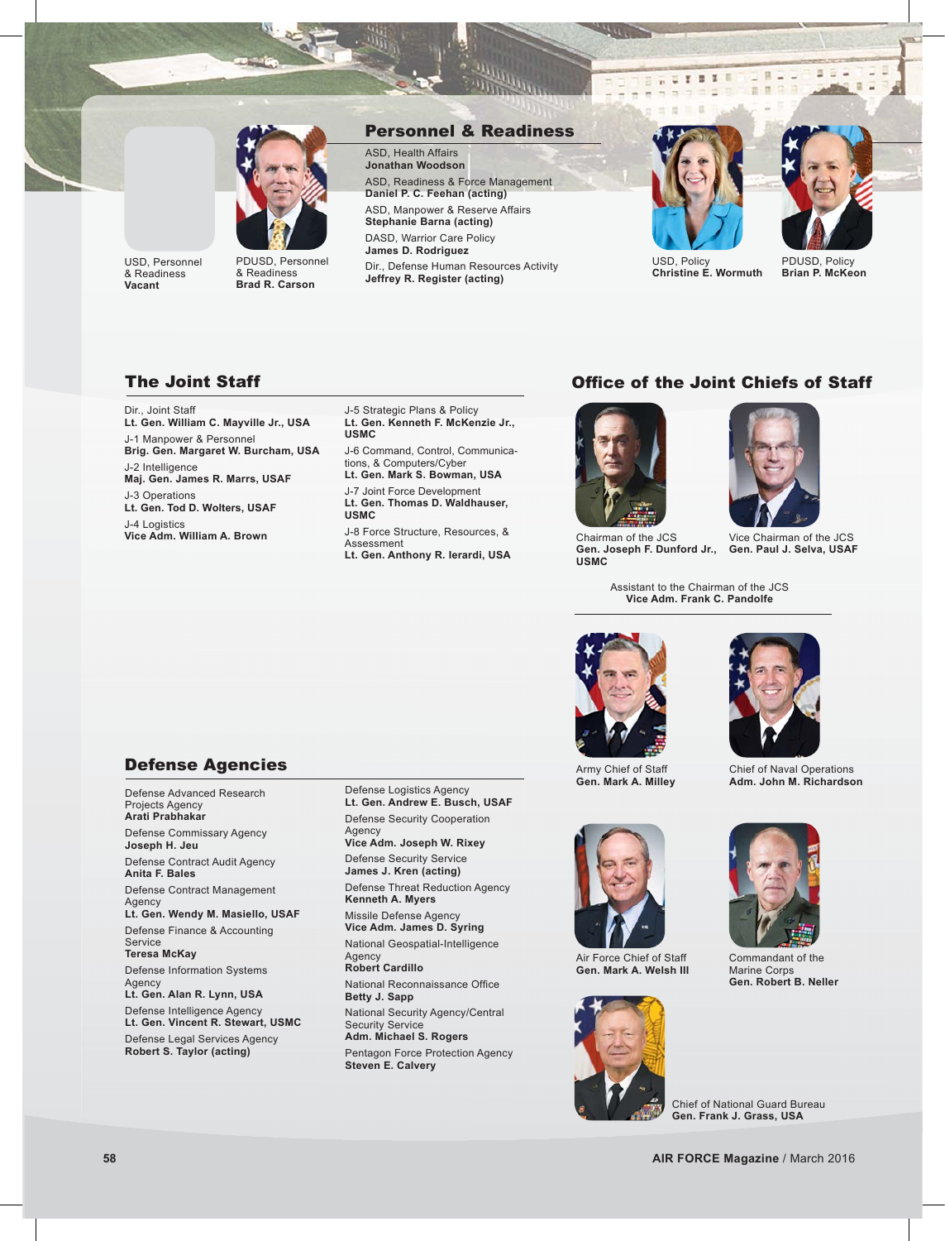

#### USD, Personnel & Readiness **Vacant**

PDUSD, Personnel & Readiness **Brad R. Carson**

#### Personnel & Readiness

ASD, Health Affairs **Jonathan Woodson** ASD, Readiness & Force Management **Daniel P. C. Feehan (acting)** ASD, Manpower & Reserve Affairs **Stephanie Barna (acting)** DASD, Warrior Care Policy **James D. Rodriguez** Dir., Defense Human Resources Activity



 $X = X + 1$ 

雪哥



目

 $\mathbb{R}$   $\mathbb{R}$  $\frac{1}{2}$ 

**Christine E. Wormuth**

PDUSD, Policy **Brian P. McKeon**

## The Joint Staff

Dir., Joint Staff **Lt. Gen. William C. Mayville Jr., USA** J-1 Manpower & Personnel **Brig. Gen. Margaret W. Burcham, USA** J-2 Intelligence **Maj. Gen. James R. Marrs, USAF** J-3 Operations **Lt. Gen. Tod D. Wolters, USAF** J-4 Logistics **Vice Adm. William A. Brown**

J-5 Strategic Plans & Policy **Lt. Gen. Kenneth F. McKenzie Jr., USMC**

**Jeffrey R. Register (acting)**

J-6 Command, Control, Communications, & Computers/Cyber **Lt. Gen. Mark S. Bowman, USA**

J-7 Joint Force Development **Lt. Gen. Thomas D. Waldhauser, USMC** 

J-8 Force Structure, Resources, & Assessment **Lt. Gen. Anthony R. Ierardi, USA**

# Office of the Joint Chiefs of Staff



Gen. Joseph F. Dunford Jr., Gen. Paul J. Selva, USAF Chairman of the JCS **USMC**



Vice Chairman of the JCS

Assistant to the Chairman of the JCS **Vice Adm. Frank C. Pandolfe**



Army Chief of Staff **Gen. Mark A. Milley**



Chief of Naval Operations **Adm. John M. Richardson**



Commandant of the Marine Corps **Gen. Robert B. Neller**

Defense Agencies

Defense Advanced Research Projects Agency **Arati Prabhakar**

Defense Commissary Agency **Joseph H. Jeu**

Defense Contract Audit Agency **Anita F. Bales**

Defense Contract Management **Agency** 

**Lt. Gen. Wendy M. Masiello, USAF** Defense Finance & Accounting Service

**Teresa McKay**

Defense Information Systems Agency

**Lt. Gen. Alan R. Lynn, USA** Defense Intelligence Agency **Lt. Gen. Vincent R. Stewart, USMC**

Defense Legal Services Agency **Robert S. Taylor (acting)**

Defense Logistics Agency **Lt. Gen. Andrew E. Busch, USAF** Defense Security Cooperation Agency

**Vice Adm. Joseph W. Rixey**

Defense Security Service **James J. Kren (acting)**

Defense Threat Reduction Agency **Kenneth A. Myers** Missile Defense Agency

**Vice Adm. James D. Syring** National Geospatial-Intelligence

Agency **Robert Cardillo**

National Reconnaissance Office **Betty J. Sapp**

National Security Agency/Central Security Service

**Adm. Michael S. Rogers** 

Pentagon Force Protection Agency **Steven E. Calvery**



Air Force Chief of Staff **Gen. Mark A. Welsh III**



Chief of National Guard Bureau **Gen. Frank J. Grass, USA**